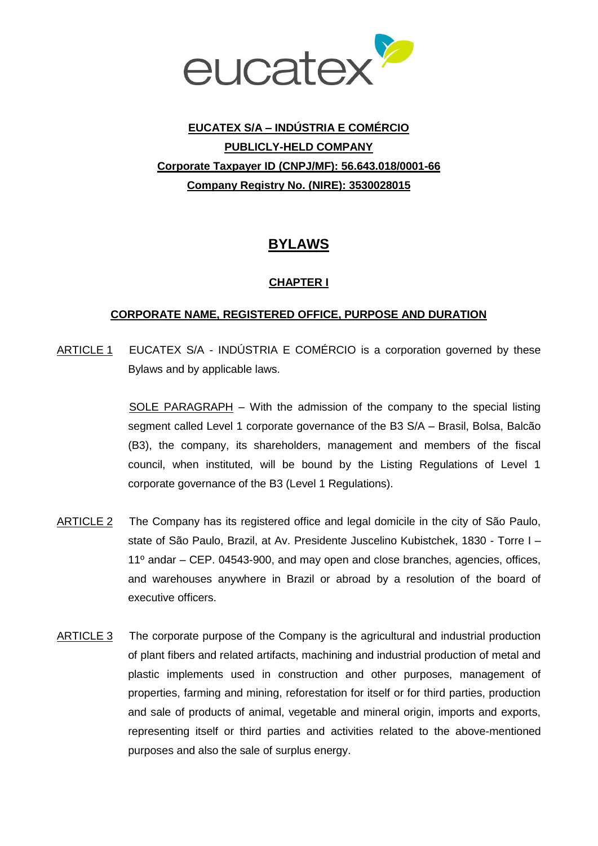

# **EUCATEX S/A – INDÚSTRIA E COMÉRCIO PUBLICLY-HELD COMPANY Corporate Taxpayer ID (CNPJ/MF): 56.643.018/0001-66 Company Registry No. (NIRE): 3530028015**

## **BYLAWS**

### **CHAPTER I**

### **CORPORATE NAME, REGISTERED OFFICE, PURPOSE AND DURATION**

ARTICLE 1 EUCATEX S/A - INDÚSTRIA E COMÉRCIO is a corporation governed by these Bylaws and by applicable laws.

> SOLE PARAGRAPH – With the admission of the company to the special listing segment called Level 1 corporate governance of the B3 S/A – Brasil, Bolsa, Balcão (B3), the company, its shareholders, management and members of the fiscal council, when instituted, will be bound by the Listing Regulations of Level 1 corporate governance of the B3 (Level 1 Regulations).

- ARTICLE 2 The Company has its registered office and legal domicile in the city of São Paulo, state of São Paulo, Brazil, at Av. Presidente Juscelino Kubistchek, 1830 - Torre I – 11º andar – CEP. 04543-900, and may open and close branches, agencies, offices, and warehouses anywhere in Brazil or abroad by a resolution of the board of executive officers.
- ARTICLE 3 The corporate purpose of the Company is the agricultural and industrial production of plant fibers and related artifacts, machining and industrial production of metal and plastic implements used in construction and other purposes, management of properties, farming and mining, reforestation for itself or for third parties, production and sale of products of animal, vegetable and mineral origin, imports and exports, representing itself or third parties and activities related to the above-mentioned purposes and also the sale of surplus energy.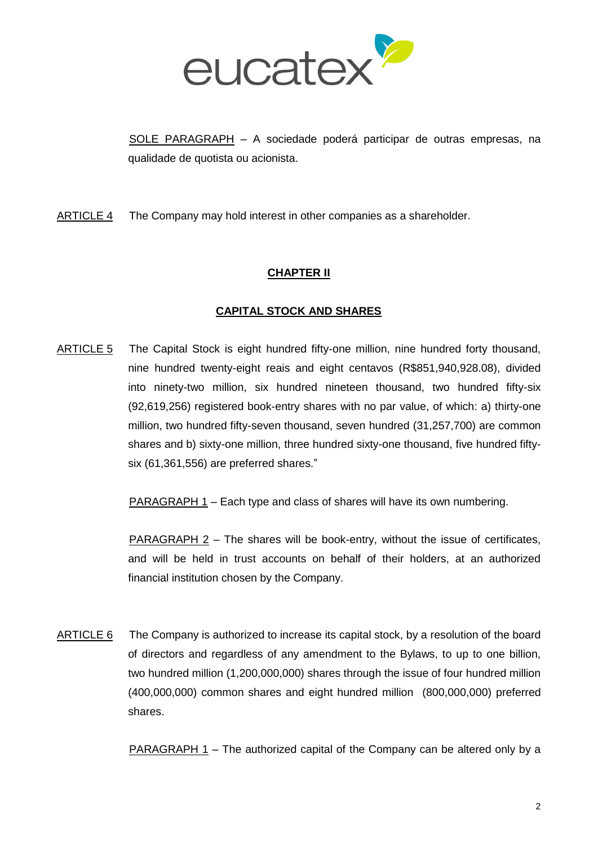

SOLE PARAGRAPH – A sociedade poderá participar de outras empresas, na qualidade de quotista ou acionista.

ARTICLE 4 The Company may hold interest in other companies as a shareholder.

### **CHAPTER II**

### **CAPITAL STOCK AND SHARES**

ARTICLE 5 The Capital Stock is eight hundred fifty-one million, nine hundred forty thousand, nine hundred twenty-eight reais and eight centavos (R\$851,940,928.08), divided into ninety-two million, six hundred nineteen thousand, two hundred fifty-six (92,619,256) registered book-entry shares with no par value, of which: a) thirty-one million, two hundred fifty-seven thousand, seven hundred (31,257,700) are common shares and b) sixty-one million, three hundred sixty-one thousand, five hundred fiftysix (61,361,556) are preferred shares."

PARAGRAPH 1 – Each type and class of shares will have its own numbering.

PARAGRAPH 2 - The shares will be book-entry, without the issue of certificates, and will be held in trust accounts on behalf of their holders, at an authorized financial institution chosen by the Company.

ARTICLE 6 The Company is authorized to increase its capital stock, by a resolution of the board of directors and regardless of any amendment to the Bylaws, to up to one billion, two hundred million (1,200,000,000) shares through the issue of four hundred million (400,000,000) common shares and eight hundred million (800,000,000) preferred shares.

PARAGRAPH 1 – The authorized capital of the Company can be altered only by a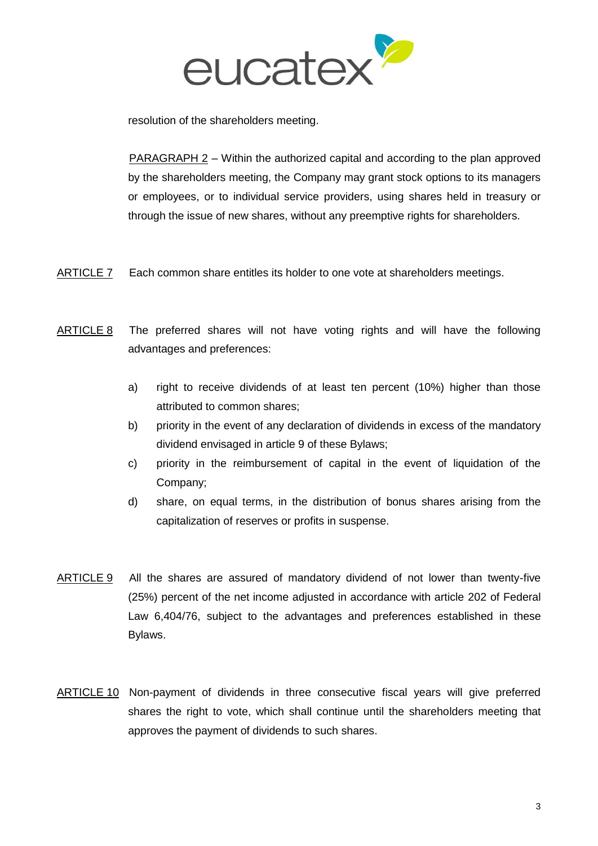

resolution of the shareholders meeting.

PARAGRAPH 2 – Within the authorized capital and according to the plan approved by the shareholders meeting, the Company may grant stock options to its managers or employees, or to individual service providers, using shares held in treasury or through the issue of new shares, without any preemptive rights for shareholders.

- ARTICLE 7 Each common share entitles its holder to one vote at shareholders meetings.
- ARTICLE 8 The preferred shares will not have voting rights and will have the following advantages and preferences:
	- a) right to receive dividends of at least ten percent (10%) higher than those attributed to common shares;
	- b) priority in the event of any declaration of dividends in excess of the mandatory dividend envisaged in article 9 of these Bylaws;
	- c) priority in the reimbursement of capital in the event of liquidation of the Company;
	- d) share, on equal terms, in the distribution of bonus shares arising from the capitalization of reserves or profits in suspense.
- ARTICLE 9 All the shares are assured of mandatory dividend of not lower than twenty-five (25%) percent of the net income adjusted in accordance with article 202 of Federal Law 6,404/76, subject to the advantages and preferences established in these Bylaws.
- ARTICLE 10 Non-payment of dividends in three consecutive fiscal years will give preferred shares the right to vote, which shall continue until the shareholders meeting that approves the payment of dividends to such shares.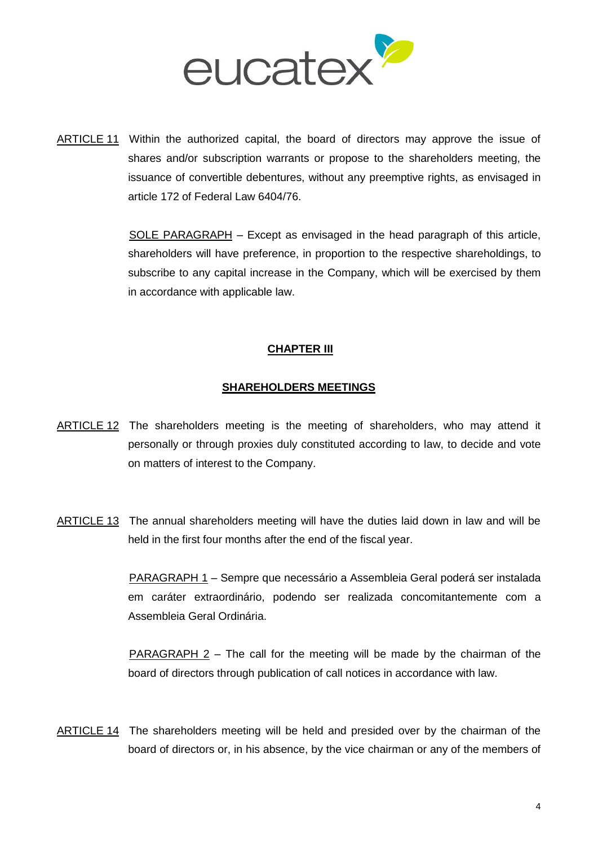

ARTICLE 11 Within the authorized capital, the board of directors may approve the issue of shares and/or subscription warrants or propose to the shareholders meeting, the issuance of convertible debentures, without any preemptive rights, as envisaged in article 172 of Federal Law 6404/76.

> SOLE PARAGRAPH – Except as envisaged in the head paragraph of this article, shareholders will have preference, in proportion to the respective shareholdings, to subscribe to any capital increase in the Company, which will be exercised by them in accordance with applicable law.

### **CHAPTER III**

#### **SHAREHOLDERS MEETINGS**

- ARTICLE 12 The shareholders meeting is the meeting of shareholders, who may attend it personally or through proxies duly constituted according to law, to decide and vote on matters of interest to the Company.
- ARTICLE 13 The annual shareholders meeting will have the duties laid down in law and will be held in the first four months after the end of the fiscal year.

PARAGRAPH 1 – Sempre que necessário a Assembleia Geral poderá ser instalada em caráter extraordinário, podendo ser realizada concomitantemente com a Assembleia Geral Ordinária.

PARAGRAPH 2 – The call for the meeting will be made by the chairman of the board of directors through publication of call notices in accordance with law.

ARTICLE 14 The shareholders meeting will be held and presided over by the chairman of the board of directors or, in his absence, by the vice chairman or any of the members of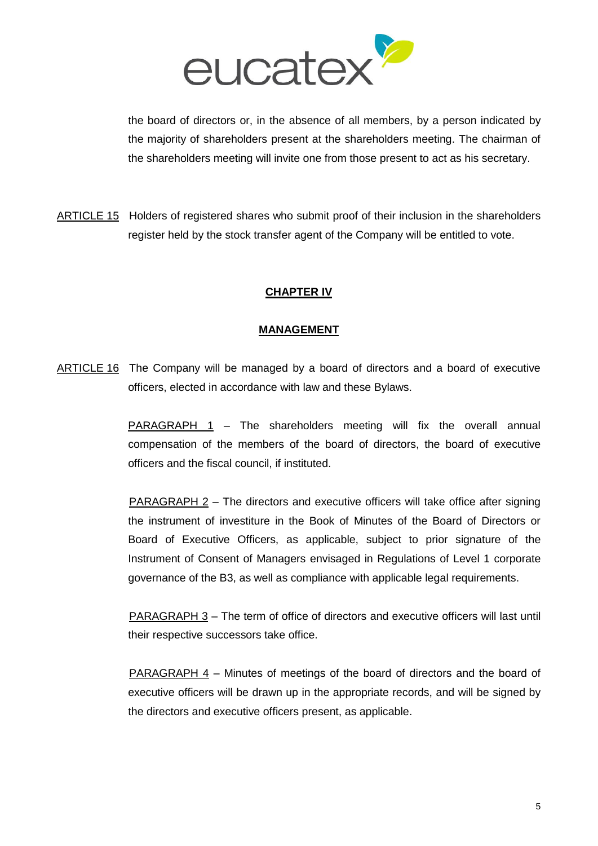

the board of directors or, in the absence of all members, by a person indicated by the majority of shareholders present at the shareholders meeting. The chairman of the shareholders meeting will invite one from those present to act as his secretary.

ARTICLE 15 Holders of registered shares who submit proof of their inclusion in the shareholders register held by the stock transfer agent of the Company will be entitled to vote.

### **CHAPTER IV**

#### **MANAGEMENT**

ARTICLE 16 The Company will be managed by a board of directors and a board of executive officers, elected in accordance with law and these Bylaws.

> PARAGRAPH 1 – The shareholders meeting will fix the overall annual compensation of the members of the board of directors, the board of executive officers and the fiscal council, if instituted.

> PARAGRAPH 2 – The directors and executive officers will take office after signing the instrument of investiture in the Book of Minutes of the Board of Directors or Board of Executive Officers, as applicable, subject to prior signature of the Instrument of Consent of Managers envisaged in Regulations of Level 1 corporate governance of the B3, as well as compliance with applicable legal requirements.

> PARAGRAPH 3 - The term of office of directors and executive officers will last until their respective successors take office.

> PARAGRAPH 4 – Minutes of meetings of the board of directors and the board of executive officers will be drawn up in the appropriate records, and will be signed by the directors and executive officers present, as applicable.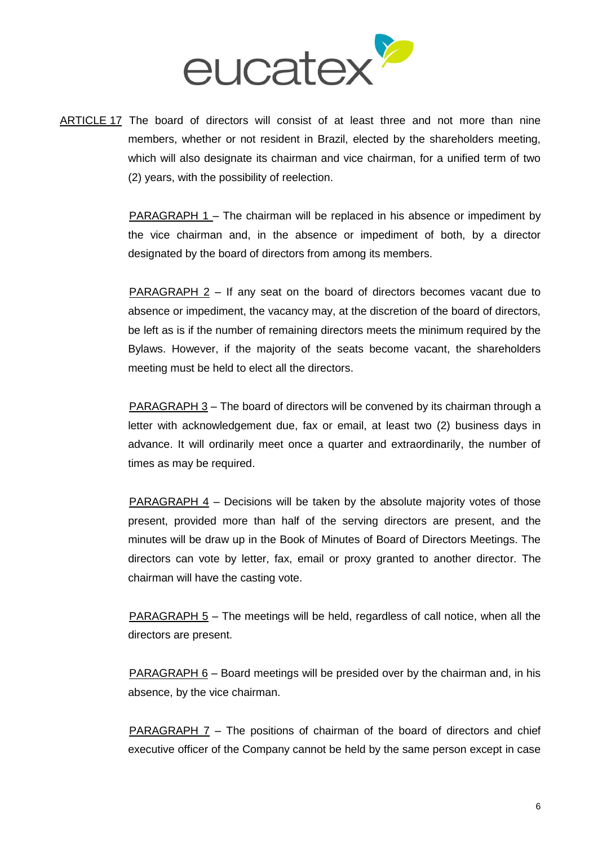

ARTICLE 17 The board of directors will consist of at least three and not more than nine members, whether or not resident in Brazil, elected by the shareholders meeting, which will also designate its chairman and vice chairman, for a unified term of two (2) years, with the possibility of reelection.

> PARAGRAPH 1 – The chairman will be replaced in his absence or impediment by the vice chairman and, in the absence or impediment of both, by a director designated by the board of directors from among its members.

> PARAGRAPH 2 – If any seat on the board of directors becomes vacant due to absence or impediment, the vacancy may, at the discretion of the board of directors, be left as is if the number of remaining directors meets the minimum required by the Bylaws. However, if the majority of the seats become vacant, the shareholders meeting must be held to elect all the directors.

> PARAGRAPH 3 – The board of directors will be convened by its chairman through a letter with acknowledgement due, fax or email, at least two (2) business days in advance. It will ordinarily meet once a quarter and extraordinarily, the number of times as may be required.

> PARAGRAPH 4 – Decisions will be taken by the absolute majority votes of those present, provided more than half of the serving directors are present, and the minutes will be draw up in the Book of Minutes of Board of Directors Meetings. The directors can vote by letter, fax, email or proxy granted to another director. The chairman will have the casting vote.

> PARAGRAPH 5 – The meetings will be held, regardless of call notice, when all the directors are present.

> **PARAGRAPH 6** – Board meetings will be presided over by the chairman and, in his absence, by the vice chairman.

> **PARAGRAPH 7** – The positions of chairman of the board of directors and chief executive officer of the Company cannot be held by the same person except in case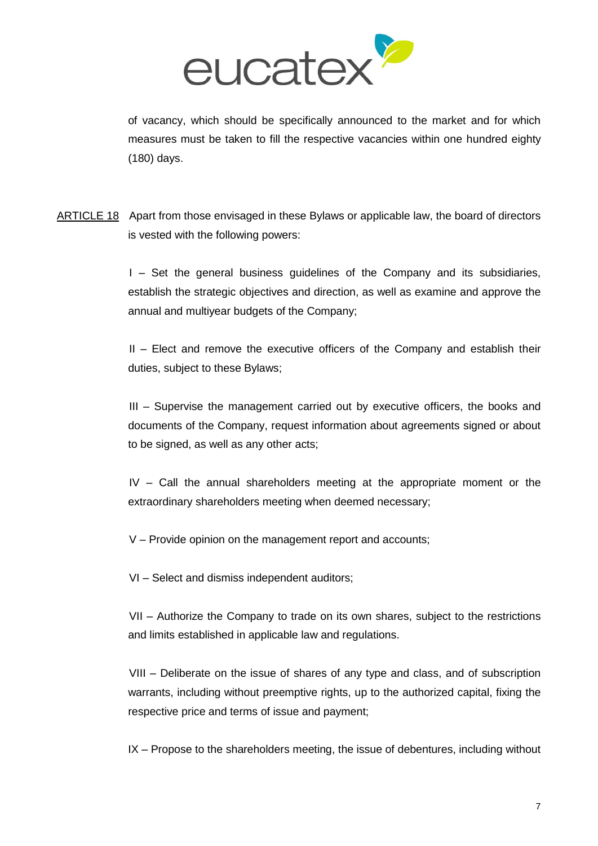

of vacancy, which should be specifically announced to the market and for which measures must be taken to fill the respective vacancies within one hundred eighty (180) days.

ARTICLE 18 Apart from those envisaged in these Bylaws or applicable law, the board of directors is vested with the following powers:

> I – Set the general business guidelines of the Company and its subsidiaries, establish the strategic objectives and direction, as well as examine and approve the annual and multiyear budgets of the Company;

> II – Elect and remove the executive officers of the Company and establish their duties, subject to these Bylaws;

> III – Supervise the management carried out by executive officers, the books and documents of the Company, request information about agreements signed or about to be signed, as well as any other acts;

> IV – Call the annual shareholders meeting at the appropriate moment or the extraordinary shareholders meeting when deemed necessary;

V – Provide opinion on the management report and accounts;

VI – Select and dismiss independent auditors;

VII – Authorize the Company to trade on its own shares, subject to the restrictions and limits established in applicable law and regulations.

VIII – Deliberate on the issue of shares of any type and class, and of subscription warrants, including without preemptive rights, up to the authorized capital, fixing the respective price and terms of issue and payment;

IX – Propose to the shareholders meeting, the issue of debentures, including without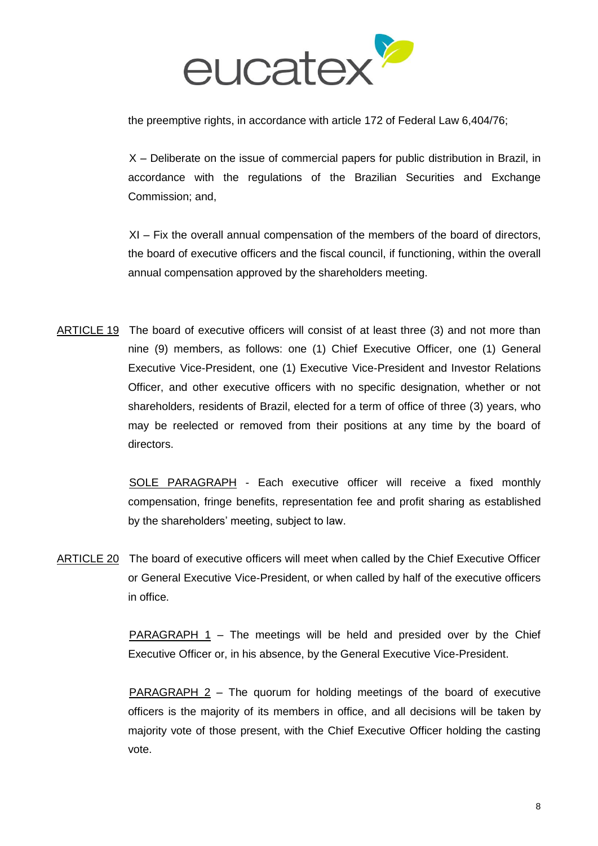

the preemptive rights, in accordance with article 172 of Federal Law 6,404/76;

X – Deliberate on the issue of commercial papers for public distribution in Brazil, in accordance with the regulations of the Brazilian Securities and Exchange Commission; and,

XI – Fix the overall annual compensation of the members of the board of directors, the board of executive officers and the fiscal council, if functioning, within the overall annual compensation approved by the shareholders meeting.

ARTICLE 19 The board of executive officers will consist of at least three (3) and not more than nine (9) members, as follows: one (1) Chief Executive Officer, one (1) General Executive Vice-President, one (1) Executive Vice-President and Investor Relations Officer, and other executive officers with no specific designation, whether or not shareholders, residents of Brazil, elected for a term of office of three (3) years, who may be reelected or removed from their positions at any time by the board of directors.

> SOLE PARAGRAPH - Each executive officer will receive a fixed monthly compensation, fringe benefits, representation fee and profit sharing as established by the shareholders' meeting, subject to law.

ARTICLE 20 The board of executive officers will meet when called by the Chief Executive Officer or General Executive Vice-President, or when called by half of the executive officers in office.

> PARAGRAPH 1 – The meetings will be held and presided over by the Chief Executive Officer or, in his absence, by the General Executive Vice-President.

> PARAGRAPH 2 – The quorum for holding meetings of the board of executive officers is the majority of its members in office, and all decisions will be taken by majority vote of those present, with the Chief Executive Officer holding the casting vote.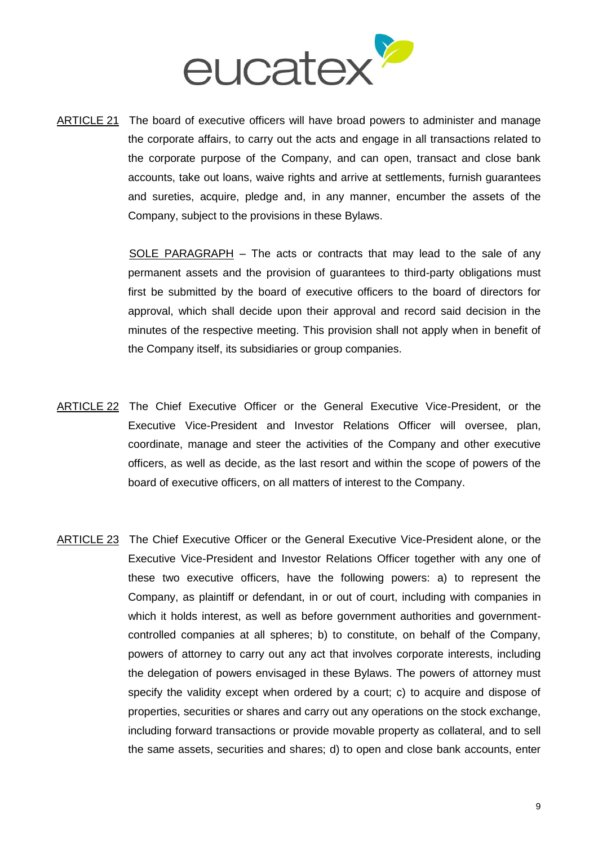

ARTICLE 21 The board of executive officers will have broad powers to administer and manage the corporate affairs, to carry out the acts and engage in all transactions related to the corporate purpose of the Company, and can open, transact and close bank accounts, take out loans, waive rights and arrive at settlements, furnish guarantees and sureties, acquire, pledge and, in any manner, encumber the assets of the Company, subject to the provisions in these Bylaws.

> SOLE PARAGRAPH – The acts or contracts that may lead to the sale of any permanent assets and the provision of guarantees to third-party obligations must first be submitted by the board of executive officers to the board of directors for approval, which shall decide upon their approval and record said decision in the minutes of the respective meeting. This provision shall not apply when in benefit of the Company itself, its subsidiaries or group companies.

- ARTICLE 22 The Chief Executive Officer or the General Executive Vice-President, or the Executive Vice-President and Investor Relations Officer will oversee, plan, coordinate, manage and steer the activities of the Company and other executive officers, as well as decide, as the last resort and within the scope of powers of the board of executive officers, on all matters of interest to the Company.
- ARTICLE 23 The Chief Executive Officer or the General Executive Vice-President alone, or the Executive Vice-President and Investor Relations Officer together with any one of these two executive officers, have the following powers: a) to represent the Company, as plaintiff or defendant, in or out of court, including with companies in which it holds interest, as well as before government authorities and governmentcontrolled companies at all spheres; b) to constitute, on behalf of the Company, powers of attorney to carry out any act that involves corporate interests, including the delegation of powers envisaged in these Bylaws. The powers of attorney must specify the validity except when ordered by a court; c) to acquire and dispose of properties, securities or shares and carry out any operations on the stock exchange, including forward transactions or provide movable property as collateral, and to sell the same assets, securities and shares; d) to open and close bank accounts, enter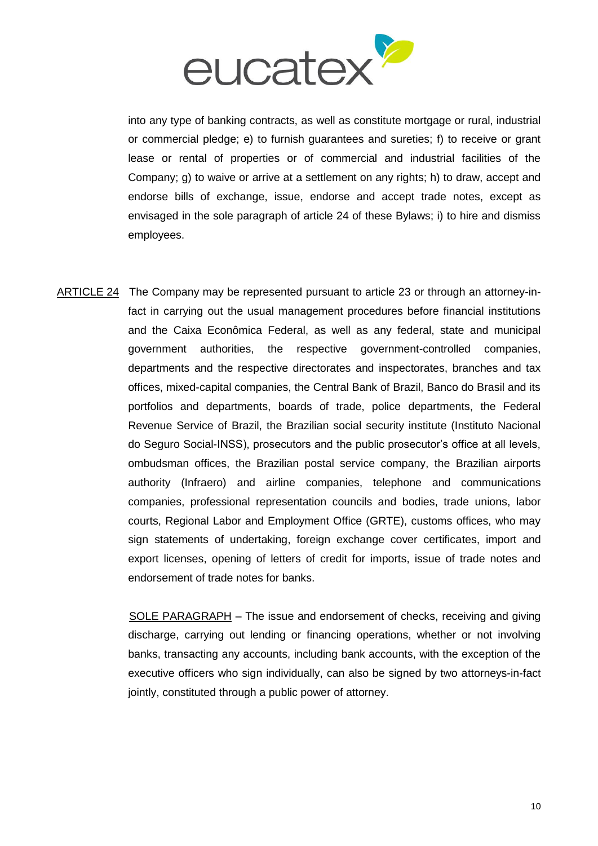

into any type of banking contracts, as well as constitute mortgage or rural, industrial or commercial pledge; e) to furnish guarantees and sureties; f) to receive or grant lease or rental of properties or of commercial and industrial facilities of the Company; g) to waive or arrive at a settlement on any rights; h) to draw, accept and endorse bills of exchange, issue, endorse and accept trade notes, except as envisaged in the sole paragraph of article 24 of these Bylaws; i) to hire and dismiss employees.

ARTICLE 24 The Company may be represented pursuant to article 23 or through an attorney-infact in carrying out the usual management procedures before financial institutions and the Caixa Econômica Federal, as well as any federal, state and municipal government authorities, the respective government-controlled companies, departments and the respective directorates and inspectorates, branches and tax offices, mixed-capital companies, the Central Bank of Brazil, Banco do Brasil and its portfolios and departments, boards of trade, police departments, the Federal Revenue Service of Brazil, the Brazilian social security institute (Instituto Nacional do Seguro Social-INSS), prosecutors and the public prosecutor's office at all levels, ombudsman offices, the Brazilian postal service company, the Brazilian airports authority (Infraero) and airline companies, telephone and communications companies, professional representation councils and bodies, trade unions, labor courts, Regional Labor and Employment Office (GRTE), customs offices, who may sign statements of undertaking, foreign exchange cover certificates, import and export licenses, opening of letters of credit for imports, issue of trade notes and endorsement of trade notes for banks.

> SOLE PARAGRAPH – The issue and endorsement of checks, receiving and giving discharge, carrying out lending or financing operations, whether or not involving banks, transacting any accounts, including bank accounts, with the exception of the executive officers who sign individually, can also be signed by two attorneys-in-fact jointly, constituted through a public power of attorney.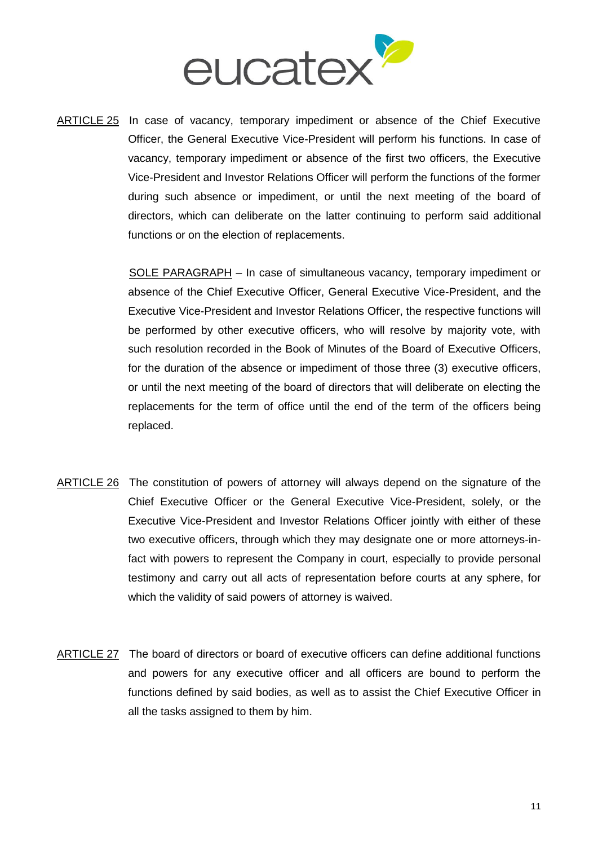

ARTICLE 25 In case of vacancy, temporary impediment or absence of the Chief Executive Officer, the General Executive Vice-President will perform his functions. In case of vacancy, temporary impediment or absence of the first two officers, the Executive Vice-President and Investor Relations Officer will perform the functions of the former during such absence or impediment, or until the next meeting of the board of directors, which can deliberate on the latter continuing to perform said additional functions or on the election of replacements.

> SOLE PARAGRAPH – In case of simultaneous vacancy, temporary impediment or absence of the Chief Executive Officer, General Executive Vice-President, and the Executive Vice-President and Investor Relations Officer, the respective functions will be performed by other executive officers, who will resolve by majority vote, with such resolution recorded in the Book of Minutes of the Board of Executive Officers, for the duration of the absence or impediment of those three (3) executive officers, or until the next meeting of the board of directors that will deliberate on electing the replacements for the term of office until the end of the term of the officers being replaced.

- ARTICLE 26 The constitution of powers of attorney will always depend on the signature of the Chief Executive Officer or the General Executive Vice-President, solely, or the Executive Vice-President and Investor Relations Officer jointly with either of these two executive officers, through which they may designate one or more attorneys-infact with powers to represent the Company in court, especially to provide personal testimony and carry out all acts of representation before courts at any sphere, for which the validity of said powers of attorney is waived.
- ARTICLE 27 The board of directors or board of executive officers can define additional functions and powers for any executive officer and all officers are bound to perform the functions defined by said bodies, as well as to assist the Chief Executive Officer in all the tasks assigned to them by him.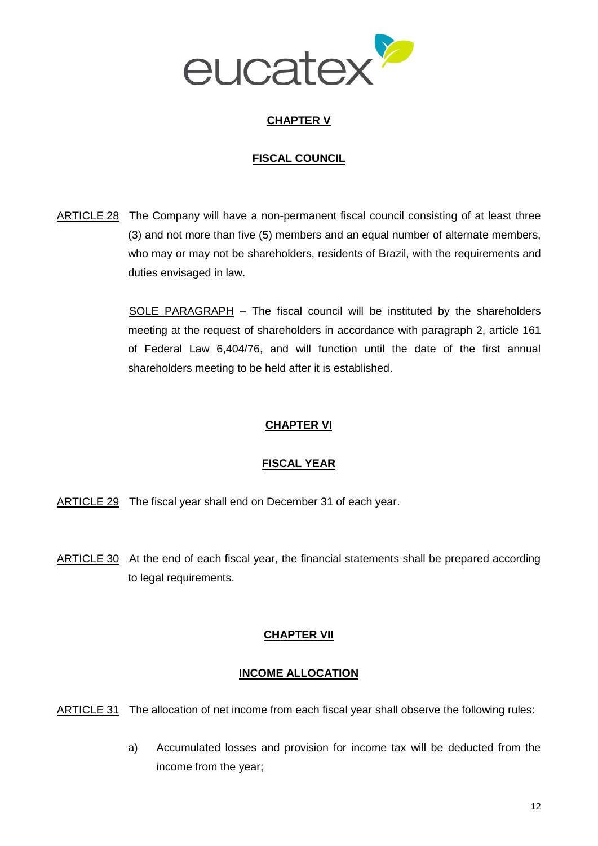

### **CHAPTER V**

### **FISCAL COUNCIL**

ARTICLE 28 The Company will have a non-permanent fiscal council consisting of at least three (3) and not more than five (5) members and an equal number of alternate members, who may or may not be shareholders, residents of Brazil, with the requirements and duties envisaged in law.

> SOLE PARAGRAPH – The fiscal council will be instituted by the shareholders meeting at the request of shareholders in accordance with paragraph 2, article 161 of Federal Law 6,404/76, and will function until the date of the first annual shareholders meeting to be held after it is established.

### **CHAPTER VI**

### **FISCAL YEAR**

- ARTICLE 29 The fiscal year shall end on December 31 of each year.
- ARTICLE 30 At the end of each fiscal year, the financial statements shall be prepared according to legal requirements.

### **CHAPTER VII**

### **INCOME ALLOCATION**

ARTICLE 31 The allocation of net income from each fiscal year shall observe the following rules:

a) Accumulated losses and provision for income tax will be deducted from the income from the year;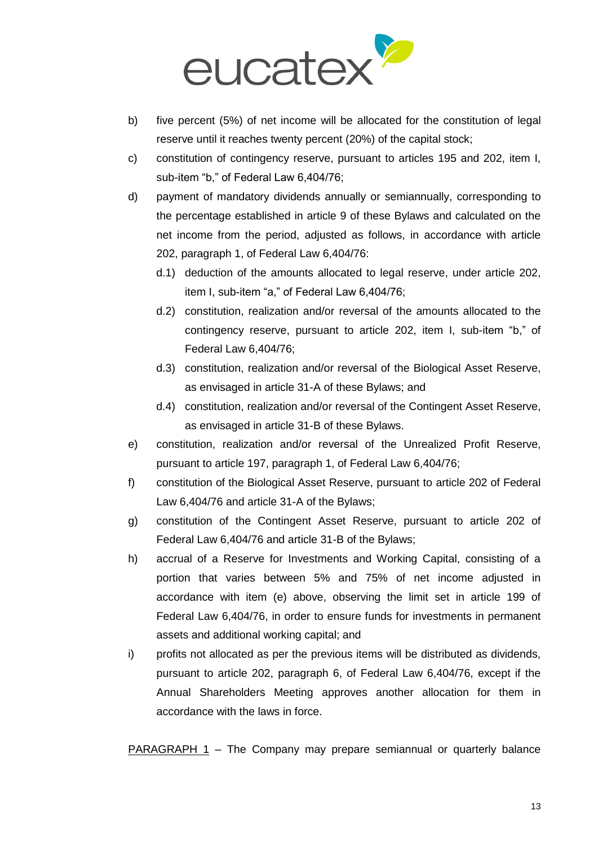

- b) five percent (5%) of net income will be allocated for the constitution of legal reserve until it reaches twenty percent (20%) of the capital stock;
- c) constitution of contingency reserve, pursuant to articles 195 and 202, item I, sub-item "b," of Federal Law 6,404/76;
- d) payment of mandatory dividends annually or semiannually, corresponding to the percentage established in article 9 of these Bylaws and calculated on the net income from the period, adjusted as follows, in accordance with article 202, paragraph 1, of Federal Law 6,404/76:
	- d.1) deduction of the amounts allocated to legal reserve, under article 202, item I, sub-item "a," of Federal Law 6,404/76;
	- d.2) constitution, realization and/or reversal of the amounts allocated to the contingency reserve, pursuant to article 202, item I, sub-item "b," of Federal Law 6,404/76;
	- d.3) constitution, realization and/or reversal of the Biological Asset Reserve, as envisaged in article 31-A of these Bylaws; and
	- d.4) constitution, realization and/or reversal of the Contingent Asset Reserve, as envisaged in article 31-B of these Bylaws.
- e) constitution, realization and/or reversal of the Unrealized Profit Reserve, pursuant to article 197, paragraph 1, of Federal Law 6,404/76;
- f) constitution of the Biological Asset Reserve, pursuant to article 202 of Federal Law 6,404/76 and article 31-A of the Bylaws;
- g) constitution of the Contingent Asset Reserve, pursuant to article 202 of Federal Law 6,404/76 and article 31-B of the Bylaws;
- h) accrual of a Reserve for Investments and Working Capital, consisting of a portion that varies between 5% and 75% of net income adjusted in accordance with item (e) above, observing the limit set in article 199 of Federal Law 6,404/76, in order to ensure funds for investments in permanent assets and additional working capital; and
- i) profits not allocated as per the previous items will be distributed as dividends, pursuant to article 202, paragraph 6, of Federal Law 6,404/76, except if the Annual Shareholders Meeting approves another allocation for them in accordance with the laws in force.

PARAGRAPH 1 – The Company may prepare semiannual or quarterly balance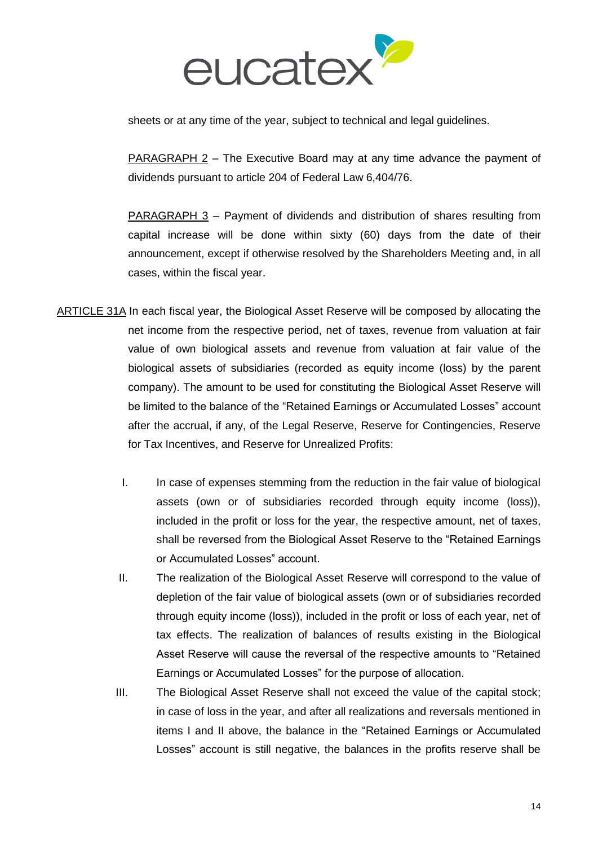

sheets or at any time of the year, subject to technical and legal guidelines.

PARAGRAPH 2 – The Executive Board may at any time advance the payment of dividends pursuant to article 204 of Federal Law 6,404/76.

PARAGRAPH 3 – Payment of dividends and distribution of shares resulting from capital increase will be done within sixty (60) days from the date of their announcement, except if otherwise resolved by the Shareholders Meeting and, in all cases, within the fiscal year.

- ARTICLE 31A In each fiscal year, the Biological Asset Reserve will be composed by allocating the net income from the respective period, net of taxes, revenue from valuation at fair value of own biological assets and revenue from valuation at fair value of the biological assets of subsidiaries (recorded as equity income (loss) by the parent company). The amount to be used for constituting the Biological Asset Reserve will be limited to the balance of the "Retained Earnings or Accumulated Losses" account after the accrual, if any, of the Legal Reserve, Reserve for Contingencies, Reserve for Tax Incentives, and Reserve for Unrealized Profits:
	- I. In case of expenses stemming from the reduction in the fair value of biological assets (own or of subsidiaries recorded through equity income (loss)), included in the profit or loss for the year, the respective amount, net of taxes, shall be reversed from the Biological Asset Reserve to the "Retained Earnings or Accumulated Losses" account.
	- II. The realization of the Biological Asset Reserve will correspond to the value of depletion of the fair value of biological assets (own or of subsidiaries recorded through equity income (loss)), included in the profit or loss of each year, net of tax effects. The realization of balances of results existing in the Biological Asset Reserve will cause the reversal of the respective amounts to "Retained Earnings or Accumulated Losses" for the purpose of allocation.
	- III. The Biological Asset Reserve shall not exceed the value of the capital stock; in case of loss in the year, and after all realizations and reversals mentioned in items I and II above, the balance in the "Retained Earnings or Accumulated Losses" account is still negative, the balances in the profits reserve shall be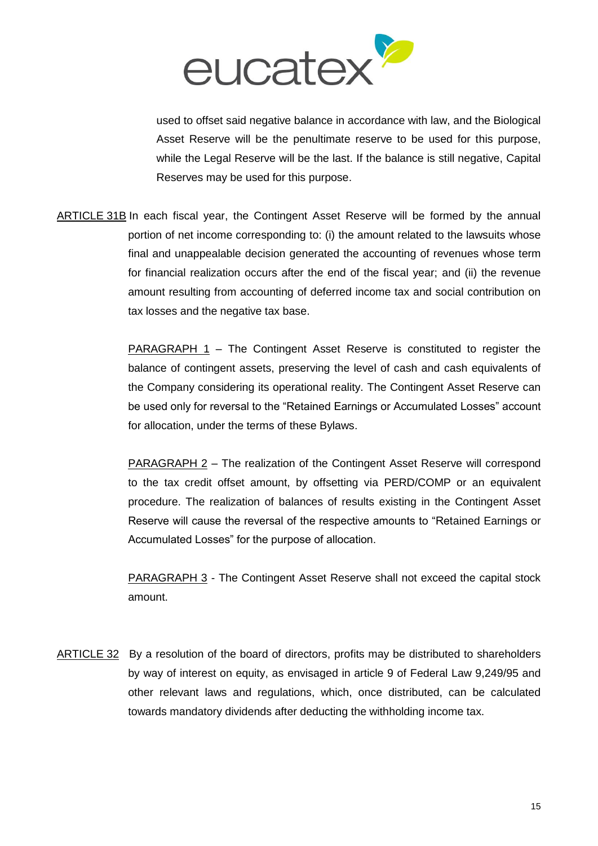

used to offset said negative balance in accordance with law, and the Biological Asset Reserve will be the penultimate reserve to be used for this purpose, while the Legal Reserve will be the last. If the balance is still negative, Capital Reserves may be used for this purpose.

ARTICLE 31B In each fiscal year, the Contingent Asset Reserve will be formed by the annual portion of net income corresponding to: (i) the amount related to the lawsuits whose final and unappealable decision generated the accounting of revenues whose term for financial realization occurs after the end of the fiscal year; and (ii) the revenue amount resulting from accounting of deferred income tax and social contribution on tax losses and the negative tax base.

> PARAGRAPH 1 – The Contingent Asset Reserve is constituted to register the balance of contingent assets, preserving the level of cash and cash equivalents of the Company considering its operational reality. The Contingent Asset Reserve can be used only for reversal to the "Retained Earnings or Accumulated Losses" account for allocation, under the terms of these Bylaws.

> PARAGRAPH 2 – The realization of the Contingent Asset Reserve will correspond to the tax credit offset amount, by offsetting via PERD/COMP or an equivalent procedure. The realization of balances of results existing in the Contingent Asset Reserve will cause the reversal of the respective amounts to "Retained Earnings or Accumulated Losses" for the purpose of allocation.

> PARAGRAPH 3 - The Contingent Asset Reserve shall not exceed the capital stock amount.

ARTICLE 32 By a resolution of the board of directors, profits may be distributed to shareholders by way of interest on equity, as envisaged in article 9 of Federal Law 9,249/95 and other relevant laws and regulations, which, once distributed, can be calculated towards mandatory dividends after deducting the withholding income tax.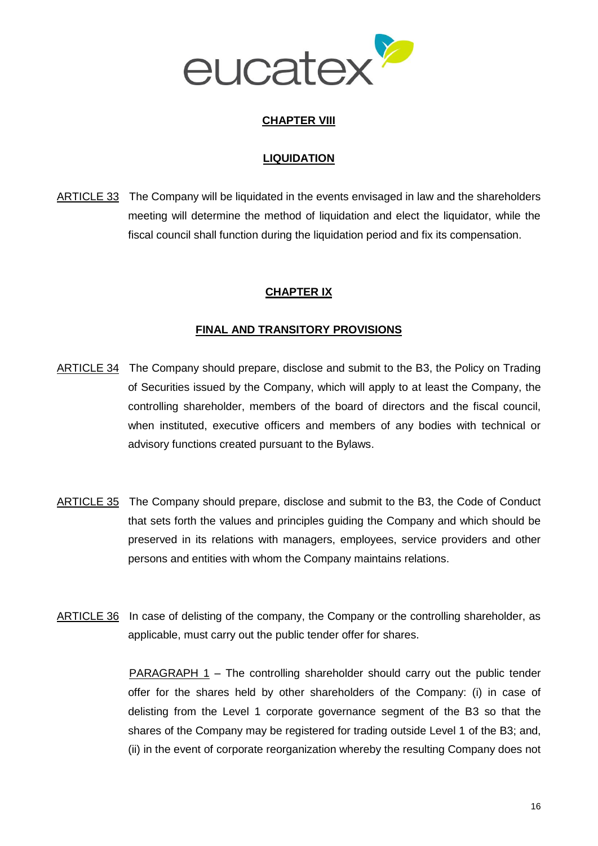

### **CHAPTER VIII**

### **LIQUIDATION**

ARTICLE 33 The Company will be liquidated in the events envisaged in law and the shareholders meeting will determine the method of liquidation and elect the liquidator, while the fiscal council shall function during the liquidation period and fix its compensation.

### **CHAPTER IX**

#### **FINAL AND TRANSITORY PROVISIONS**

- ARTICLE 34 The Company should prepare, disclose and submit to the B3, the Policy on Trading of Securities issued by the Company, which will apply to at least the Company, the controlling shareholder, members of the board of directors and the fiscal council, when instituted, executive officers and members of any bodies with technical or advisory functions created pursuant to the Bylaws.
- ARTICLE 35 The Company should prepare, disclose and submit to the B3, the Code of Conduct that sets forth the values and principles guiding the Company and which should be preserved in its relations with managers, employees, service providers and other persons and entities with whom the Company maintains relations.
- ARTICLE 36 In case of delisting of the company, the Company or the controlling shareholder, as applicable, must carry out the public tender offer for shares.

PARAGRAPH 1 – The controlling shareholder should carry out the public tender offer for the shares held by other shareholders of the Company: (i) in case of delisting from the Level 1 corporate governance segment of the B3 so that the shares of the Company may be registered for trading outside Level 1 of the B3; and, (ii) in the event of corporate reorganization whereby the resulting Company does not